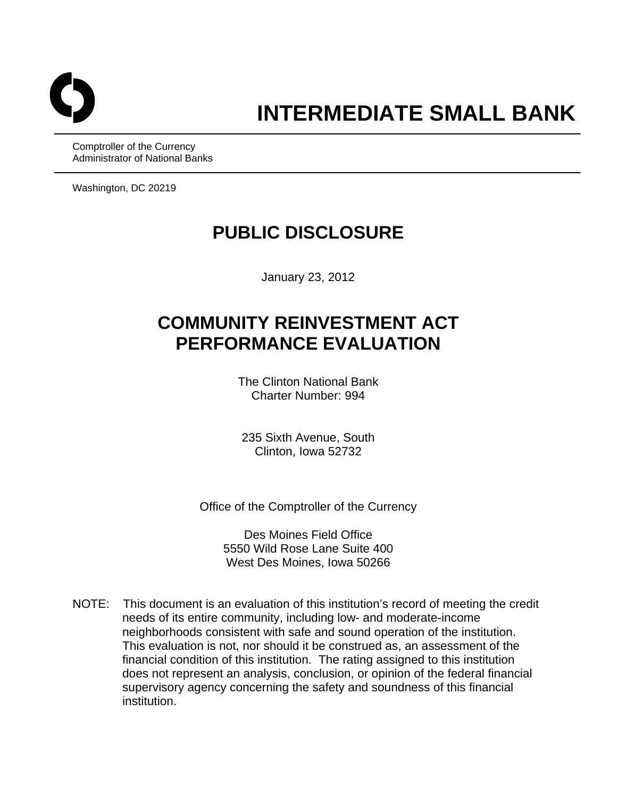

Comptroller of the Currency Administrator of National Banks

Washington, DC 20219

# **PUBLIC DISCLOSURE**

January 23, 2012

# **COMMUNITY REINVESTMENT ACT PERFORMANCE EVALUATION**

The Clinton National Bank Charter Number: 994

235 Sixth Avenue, South Clinton, Iowa 52732

Office of the Comptroller of the Currency

Des Moines Field Office 5550 Wild Rose Lane Suite 400 West Des Moines, Iowa 50266

NOTE: This document is an evaluation of this institution's record of meeting the credit needs of its entire community, including low- and moderate-income neighborhoods consistent with safe and sound operation of the institution. This evaluation is not, nor should it be construed as, an assessment of the financial condition of this institution. The rating assigned to this institution does not represent an analysis, conclusion, or opinion of the federal financial supervisory agency concerning the safety and soundness of this financial institution.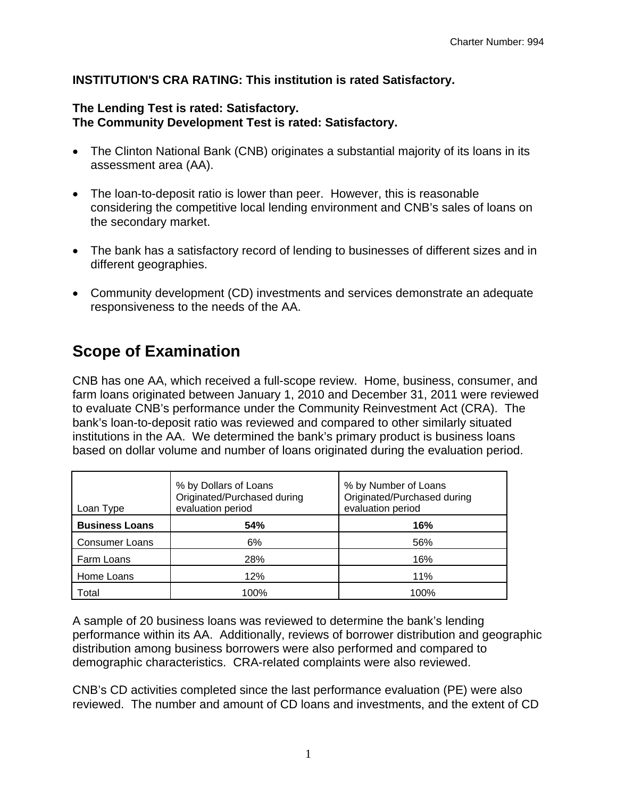### **INSTITUTION'S CRA RATING: This institution is rated Satisfactory.**

#### **The Lending Test is rated: Satisfactory. The Community Development Test is rated: Satisfactory.**

- The Clinton National Bank (CNB) originates a substantial majority of its loans in its assessment area (AA).
- The loan-to-deposit ratio is lower than peer. However, this is reasonable considering the competitive local lending environment and CNB's sales of loans on the secondary market.
- The bank has a satisfactory record of lending to businesses of different sizes and in different geographies.
- Community development (CD) investments and services demonstrate an adequate responsiveness to the needs of the AA.

# **Scope of Examination**

CNB has one AA, which received a full-scope review. Home, business, consumer, and farm loans originated between January 1, 2010 and December 31, 2011 were reviewed to evaluate CNB's performance under the Community Reinvestment Act (CRA). The bank's loan-to-deposit ratio was reviewed and compared to other similarly situated institutions in the AA. We determined the bank's primary product is business loans based on dollar volume and number of loans originated during the evaluation period.

| Loan Type             | % by Dollars of Loans<br>Originated/Purchased during<br>evaluation period | % by Number of Loans<br>Originated/Purchased during<br>evaluation period |
|-----------------------|---------------------------------------------------------------------------|--------------------------------------------------------------------------|
| <b>Business Loans</b> | <b>54%</b>                                                                | 16%                                                                      |
| <b>Consumer Loans</b> | 6%                                                                        | 56%                                                                      |
| Farm Loans            | 28%                                                                       | 16%                                                                      |
| Home Loans            | 12%                                                                       | 11%                                                                      |
| Total                 | 100%                                                                      | 100%                                                                     |

A sample of 20 business loans was reviewed to determine the bank's lending performance within its AA. Additionally, reviews of borrower distribution and geographic distribution among business borrowers were also performed and compared to demographic characteristics. CRA-related complaints were also reviewed.

CNB's CD activities completed since the last performance evaluation (PE) were also reviewed. The number and amount of CD loans and investments, and the extent of CD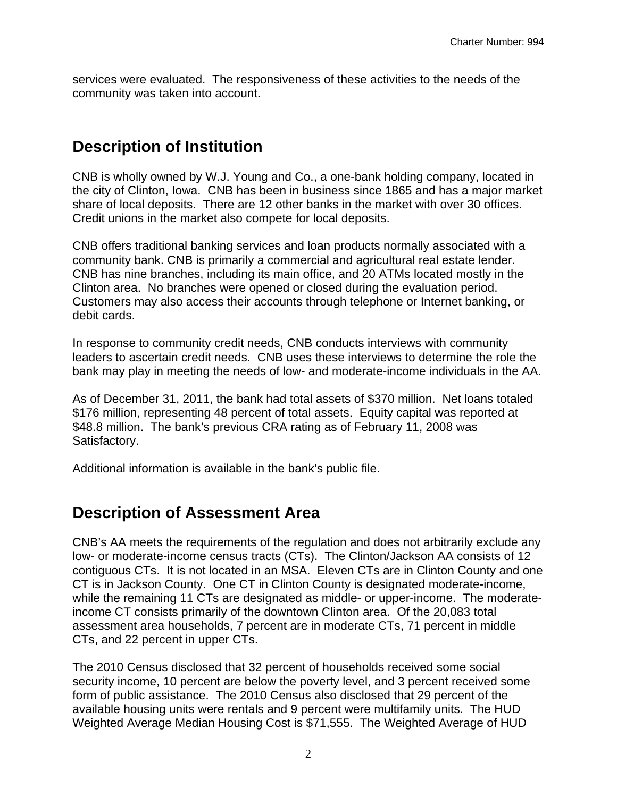services were evaluated. The responsiveness of these activities to the needs of the community was taken into account.

### **Description of Institution**

CNB is wholly owned by W.J. Young and Co., a one-bank holding company, located in the city of Clinton, Iowa. CNB has been in business since 1865 and has a major market share of local deposits. There are 12 other banks in the market with over 30 offices. Credit unions in the market also compete for local deposits.

CNB offers traditional banking services and loan products normally associated with a community bank. CNB is primarily a commercial and agricultural real estate lender. CNB has nine branches, including its main office, and 20 ATMs located mostly in the Clinton area. No branches were opened or closed during the evaluation period. Customers may also access their accounts through telephone or Internet banking, or debit cards.

In response to community credit needs, CNB conducts interviews with community leaders to ascertain credit needs. CNB uses these interviews to determine the role the bank may play in meeting the needs of low- and moderate-income individuals in the AA.

As of December 31, 2011, the bank had total assets of \$370 million. Net loans totaled \$176 million, representing 48 percent of total assets. Equity capital was reported at \$48.8 million. The bank's previous CRA rating as of February 11, 2008 was Satisfactory.

Additional information is available in the bank's public file.

### **Description of Assessment Area**

CNB's AA meets the requirements of the regulation and does not arbitrarily exclude any low- or moderate-income census tracts (CTs). The Clinton/Jackson AA consists of 12 contiguous CTs. It is not located in an MSA. Eleven CTs are in Clinton County and one CT is in Jackson County. One CT in Clinton County is designated moderate-income, while the remaining 11 CTs are designated as middle- or upper-income. The moderateincome CT consists primarily of the downtown Clinton area. Of the 20,083 total assessment area households, 7 percent are in moderate CTs, 71 percent in middle CTs, and 22 percent in upper CTs.

The 2010 Census disclosed that 32 percent of households received some social security income, 10 percent are below the poverty level, and 3 percent received some form of public assistance. The 2010 Census also disclosed that 29 percent of the available housing units were rentals and 9 percent were multifamily units. The HUD Weighted Average Median Housing Cost is \$71,555. The Weighted Average of HUD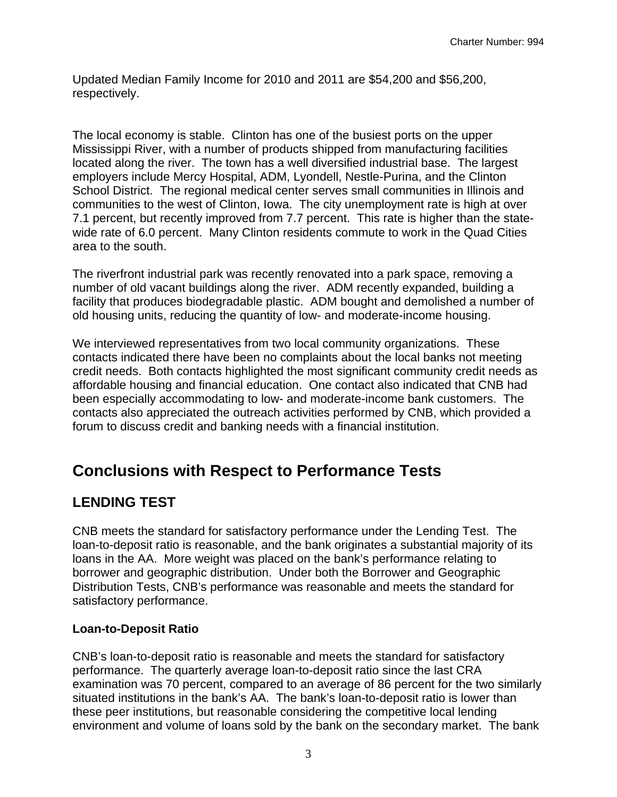Updated Median Family Income for 2010 and 2011 are \$54,200 and \$56,200, respectively.

The local economy is stable. Clinton has one of the busiest ports on the upper Mississippi River, with a number of products shipped from manufacturing facilities located along the river. The town has a well diversified industrial base. The largest employers include Mercy Hospital, ADM, Lyondell, Nestle-Purina, and the Clinton School District. The regional medical center serves small communities in Illinois and communities to the west of Clinton, Iowa. The city unemployment rate is high at over 7.1 percent, but recently improved from 7.7 percent. This rate is higher than the statewide rate of 6.0 percent. Many Clinton residents commute to work in the Quad Cities area to the south.

The riverfront industrial park was recently renovated into a park space, removing a number of old vacant buildings along the river. ADM recently expanded, building a facility that produces biodegradable plastic. ADM bought and demolished a number of old housing units, reducing the quantity of low- and moderate-income housing.

We interviewed representatives from two local community organizations. These contacts indicated there have been no complaints about the local banks not meeting credit needs. Both contacts highlighted the most significant community credit needs as affordable housing and financial education. One contact also indicated that CNB had been especially accommodating to low- and moderate-income bank customers. The contacts also appreciated the outreach activities performed by CNB, which provided a forum to discuss credit and banking needs with a financial institution.

### **Conclusions with Respect to Performance Tests**

### **LENDING TEST**

CNB meets the standard for satisfactory performance under the Lending Test. The loan-to-deposit ratio is reasonable, and the bank originates a substantial majority of its loans in the AA. More weight was placed on the bank's performance relating to borrower and geographic distribution. Under both the Borrower and Geographic Distribution Tests, CNB's performance was reasonable and meets the standard for satisfactory performance.

### **Loan-to-Deposit Ratio**

CNB's loan-to-deposit ratio is reasonable and meets the standard for satisfactory performance. The quarterly average loan-to-deposit ratio since the last CRA examination was 70 percent, compared to an average of 86 percent for the two similarly situated institutions in the bank's AA. The bank's loan-to-deposit ratio is lower than these peer institutions, but reasonable considering the competitive local lending environment and volume of loans sold by the bank on the secondary market. The bank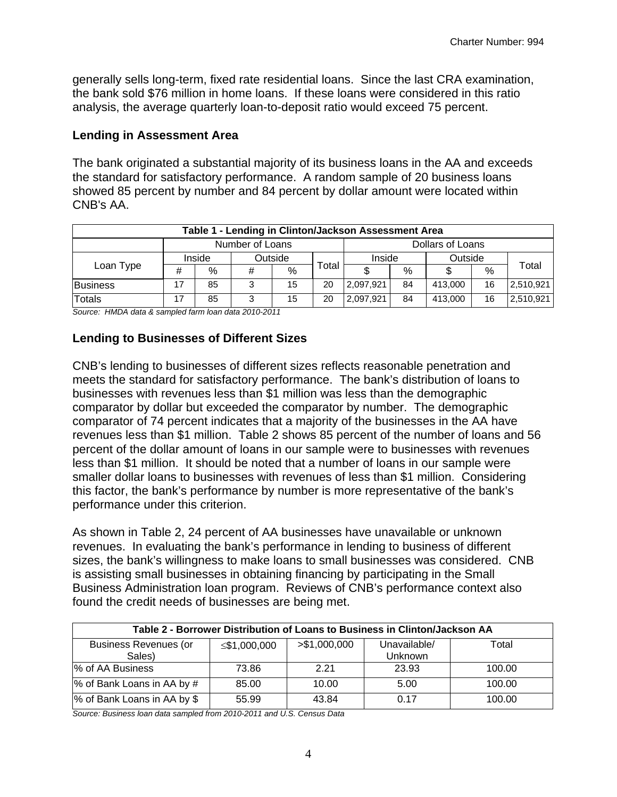generally sells long-term, fixed rate residential loans. Since the last CRA examination, the bank sold \$76 million in home loans. If these loans were considered in this ratio analysis, the average quarterly loan-to-deposit ratio would exceed 75 percent.

#### **Lending in Assessment Area**

The bank originated a substantial majority of its business loans in the AA and exceeds the standard for satisfactory performance. A random sample of 20 business loans showed 85 percent by number and 84 percent by dollar amount were located within CNB's AA.

| Table 1 - Lending in Clinton/Jackson Assessment Area |                 |                   |   |    |                  |           |         |         |      |           |
|------------------------------------------------------|-----------------|-------------------|---|----|------------------|-----------|---------|---------|------|-----------|
|                                                      | Number of Loans |                   |   |    | Dollars of Loans |           |         |         |      |           |
| Loan Type                                            |                 | Outside<br>Inside |   |    | Inside           |           | Outside |         |      |           |
|                                                      | #               | %                 | # | %  | ™otal            |           | $\%$    |         | $\%$ | Total     |
| Business                                             | 17              | 85                | 3 | 15 | 20               | 2,097,921 | 84      | 413,000 | 16   | 2,510,921 |
| <b>Totals</b>                                        | 17              | 85                | 3 | 15 | 20               | 2,097,921 | 84      | 413.000 | 16   | 2,510,921 |

*Source: HMDA data & sampled farm loan data 2010-2011* 

#### **Lending to Businesses of Different Sizes**

CNB's lending to businesses of different sizes reflects reasonable penetration and meets the standard for satisfactory performance. The bank's distribution of loans to businesses with revenues less than \$1 million was less than the demographic comparator by dollar but exceeded the comparator by number. The demographic comparator of 74 percent indicates that a majority of the businesses in the AA have revenues less than \$1 million. Table 2 shows 85 percent of the number of loans and 56 percent of the dollar amount of loans in our sample were to businesses with revenues less than \$1 million. It should be noted that a number of loans in our sample were smaller dollar loans to businesses with revenues of less than \$1 million. Considering this factor, the bank's performance by number is more representative of the bank's performance under this criterion.

As shown in Table 2, 24 percent of AA businesses have unavailable or unknown revenues. In evaluating the bank's performance in lending to business of different sizes, the bank's willingness to make loans to small businesses was considered. CNB is assisting small businesses in obtaining financing by participating in the Small Business Administration loan program. Reviews of CNB's performance context also found the credit needs of businesses are being met.

| Table 2 - Borrower Distribution of Loans to Business in Clinton/Jackson AA |              |               |                |        |  |  |
|----------------------------------------------------------------------------|--------------|---------------|----------------|--------|--|--|
| <b>Business Revenues (or</b>                                               | ≤\$1,000,000 | > \$1,000,000 | Unavailable/   | Total  |  |  |
| Sales)                                                                     |              |               | <b>Unknown</b> |        |  |  |
| % of AA Business                                                           | 73.86        | 2.21          | 23.93          | 100.00 |  |  |
| % of Bank Loans in AA by #                                                 | 85.00        | 10.00         | 5.00           | 100.00 |  |  |
| % of Bank Loans in AA by \$                                                | 55.99        | 43.84         | 0.17           | 100.00 |  |  |

*Source: Business loan data sampled from 2010-2011 and U.S. Census Data*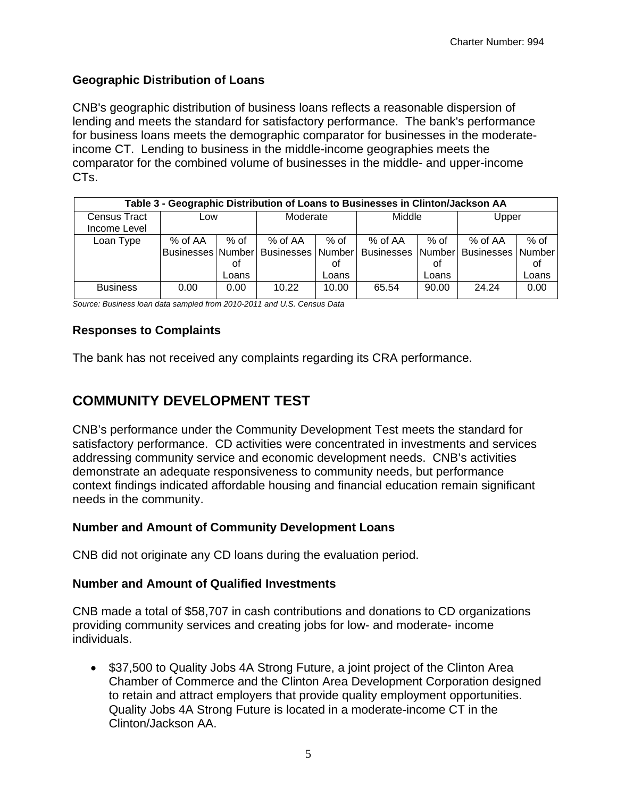#### **Geographic Distribution of Loans**

CNB's geographic distribution of business loans reflects a reasonable dispersion of lending and meets the standard for satisfactory performance. The bank's performance for business loans meets the demographic comparator for businesses in the moderateincome CT. Lending to business in the middle-income geographies meets the comparator for the combined volume of businesses in the middle- and upper-income CTs.

| Table 3 - Geographic Distribution of Loans to Businesses in Clinton/Jackson AA |         |            |          |            |                                                                                    |            |         |              |  |
|--------------------------------------------------------------------------------|---------|------------|----------|------------|------------------------------------------------------------------------------------|------------|---------|--------------|--|
| Census Tract<br>Income Level                                                   | Low     |            | Moderate |            | Middle                                                                             |            | Upper   |              |  |
| Loan Type                                                                      | % of AA | % of<br>οt | % of AA  | % of<br>οf | % of AA<br>Businesses Number Businesses Number Businesses Number Businesses Number | % of<br>οt | % of AA | $%$ of<br>οf |  |
|                                                                                |         | Loans      |          | Loans      |                                                                                    | Loans      |         | Loans        |  |
| <b>Business</b>                                                                | 0.00    | 0.00       | 10.22    | 10.00      | 65.54                                                                              | 90.00      | 24.24   | 0.00         |  |

*Source: Business loan data sampled from 2010-2011 and U.S. Census Data* 

#### **Responses to Complaints**

The bank has not received any complaints regarding its CRA performance.

### **COMMUNITY DEVELOPMENT TEST**

CNB's performance under the Community Development Test meets the standard for satisfactory performance. CD activities were concentrated in investments and services addressing community service and economic development needs. CNB's activities demonstrate an adequate responsiveness to community needs, but performance context findings indicated affordable housing and financial education remain significant needs in the community.

#### **Number and Amount of Community Development Loans**

CNB did not originate any CD loans during the evaluation period.

#### **Number and Amount of Qualified Investments**

CNB made a total of \$58,707 in cash contributions and donations to CD organizations providing community services and creating jobs for low- and moderate- income individuals.

• \$37,500 to Quality Jobs 4A Strong Future, a joint project of the Clinton Area Chamber of Commerce and the Clinton Area Development Corporation designed to retain and attract employers that provide quality employment opportunities. Quality Jobs 4A Strong Future is located in a moderate-income CT in the Clinton/Jackson AA.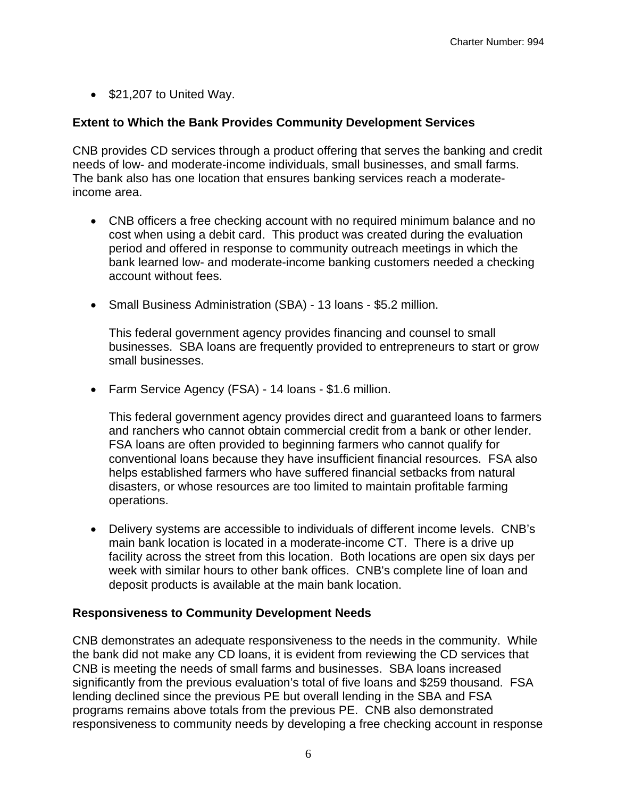$\bullet$  \$21,207 to United Way.

#### **Extent to Which the Bank Provides Community Development Services**

CNB provides CD services through a product offering that serves the banking and credit needs of low- and moderate-income individuals, small businesses, and small farms. The bank also has one location that ensures banking services reach a moderateincome area.

- CNB officers a free checking account with no required minimum balance and no cost when using a debit card. This product was created during the evaluation period and offered in response to community outreach meetings in which the bank learned low- and moderate-income banking customers needed a checking account without fees.
- Small Business Administration (SBA) 13 loans \$5.2 million.

This federal government agency provides financing and counsel to small businesses. SBA loans are frequently provided to entrepreneurs to start or grow small businesses.

 Farm Service Agency (FSA) - 14 loans - \$1.6 million.

This federal government agency provides direct and guaranteed loans to farmers and ranchers who cannot obtain commercial credit from a bank or other lender. FSA loans are often provided to beginning farmers who cannot qualify for conventional loans because they have insufficient financial resources. FSA also helps established farmers who have suffered financial setbacks from natural disasters, or whose resources are too limited to maintain profitable farming operations.

 Delivery systems are accessible to individuals of different income levels. CNB's main bank location is located in a moderate-income CT. There is a drive up facility across the street from this location. Both locations are open six days per week with similar hours to other bank offices. CNB's complete line of loan and deposit products is available at the main bank location.

#### **Responsiveness to Community Development Needs**

CNB demonstrates an adequate responsiveness to the needs in the community. While the bank did not make any CD loans, it is evident from reviewing the CD services that CNB is meeting the needs of small farms and businesses. SBA loans increased significantly from the previous evaluation's total of five loans and \$259 thousand. FSA lending declined since the previous PE but overall lending in the SBA and FSA programs remains above totals from the previous PE. CNB also demonstrated responsiveness to community needs by developing a free checking account in response